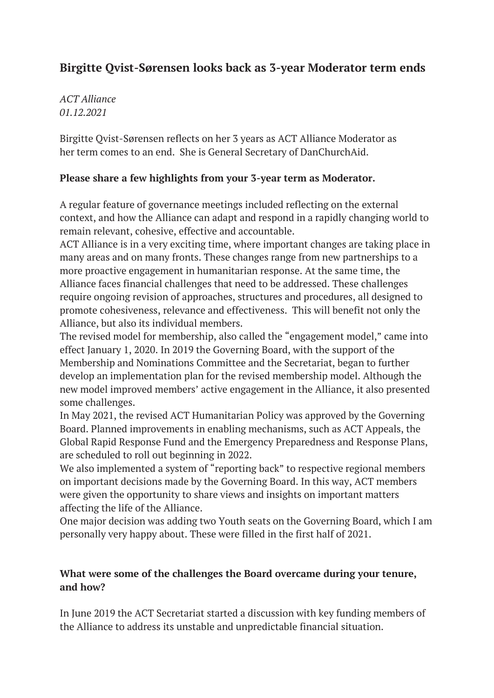## **Birgitte Qvist-Sørensen looks back as 3-year Moderator term ends**

*ACT Alliance 01.12.2021*

Birgitte Qvist-Sørensen reflects on her 3 years as ACT Alliance Moderator as her term comes to an end. She is General Secretary of DanChurchAid.

## **Please share a few highlights from your 3-year term as Moderator.**

A regular feature of governance meetings included reflecting on the external context, and how the Alliance can adapt and respond in a rapidly changing world to remain relevant, cohesive, effective and accountable.

ACT Alliance is in a very exciting time, where important changes are taking place in many areas and on many fronts. These changes range from new partnerships to a more proactive engagement in humanitarian response. At the same time, the Alliance faces financial challenges that need to be addressed. These challenges require ongoing revision of approaches, structures and procedures, all designed to promote cohesiveness, relevance and effectiveness. This will benefit not only the Alliance, but also its individual members.

The revised model for membership, also called the "engagement model," came into effect January 1, 2020. In 2019 the Governing Board, with the support of the Membership and Nominations Committee and the Secretariat, began to further develop an implementation plan for the revised membership model. Although the new model improved members' active engagement in the Alliance, it also presented some challenges.

In May 2021, the revised ACT Humanitarian Policy was approved by the Governing Board. Planned improvements in enabling mechanisms, such as ACT Appeals, the Global Rapid Response Fund and the Emergency Preparedness and Response Plans, are scheduled to roll out beginning in 2022.

We also implemented a system of "reporting back" to respective regional members on important decisions made by the Governing Board. In this way, ACT members were given the opportunity to share views and insights on important matters affecting the life of the Alliance.

One major decision was adding two Youth seats on the Governing Board, which I am personally very happy about. These were filled in the first half of 2021.

## **What were some of the challenges the Board overcame during your tenure, and how?**

In June 2019 the ACT Secretariat started a discussion with key funding members of the Alliance to address its unstable and unpredictable financial situation.